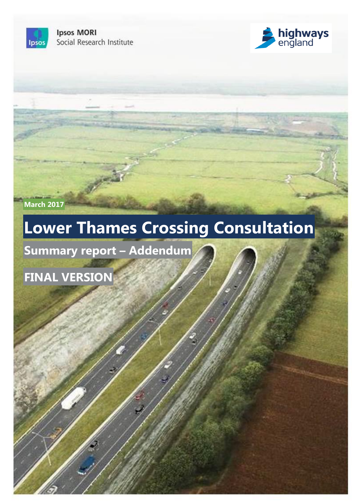**Ipsos MORI** Social Research Institute



**March 2017**

Ipsos

# **Lower Thames Crossing Consultation**

15-081993-01 Lower Thames Crossing Consultation | Final | Internal and Client use | This work was carried out in accordance with the requirements of the international quality standard for Market Research, ISO 20252:2012, and with the Ipsos MORI Terms and Conditions which can be found at http://www.ipsos-mori.com/terms. © Highways England 2017

**Summary report – Addendum**

**FINAL VERSION**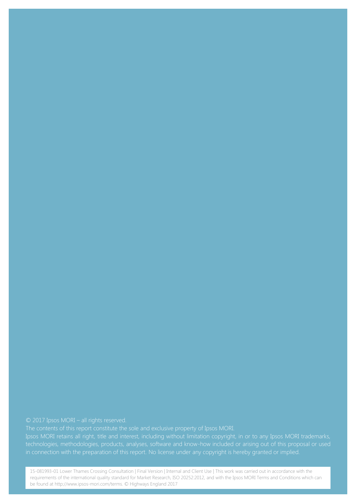Ipsos MORI retains all right, title and interest, including without limitation copyright, in or to any Ipsos MORI trademarks, technologies, methodologies, products, analyses, software and know-how included or arising out of this proposal or used in connection with the preparation of this report. No license under any copyright is hereby granted or implied.

be found at http://www.ipsos-mori.com/terms. © Highways England 2017 Research, ISO 20252:2012, and with the Ipsos MORI Terms and Conditions which can be found at http://www.ipsos-mori.com/terms. © Highways England 2017 15-081993-01 Lower Thames Crossing Consultation | Final Version | Internal and Client Use | This work was carried out in accordance with the requirements of the international quality standard for Market Research, ISO 20252:2012, and with the Ipsos MORI Terms and Conditions which can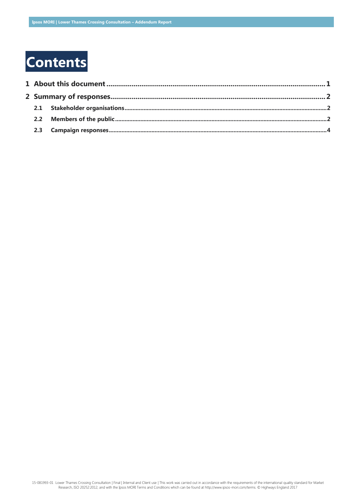## **Contents**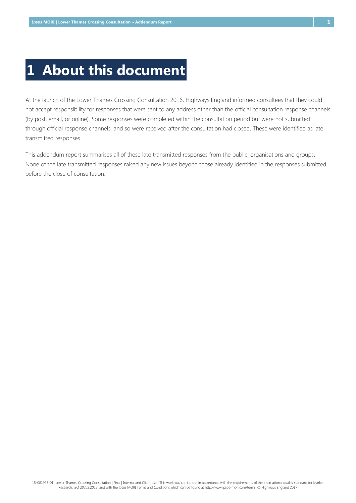### <span id="page-3-0"></span>**1 About this document**

At the launch of the Lower Thames Crossing Consultation 2016, Highways England informed consultees that they could not accept responsibility for responses that were sent to any address other than the official consultation response channels (by post, email, or online). Some responses were completed within the consultation period but were not submitted through official response channels, and so were received after the consultation had closed. These were identified as late transmitted responses.

This addendum report summarises all of these late transmitted responses from the public, organisations and groups. None of the late transmitted responses raised any new issues beyond those already identified in the responses submitted before the close of consultation.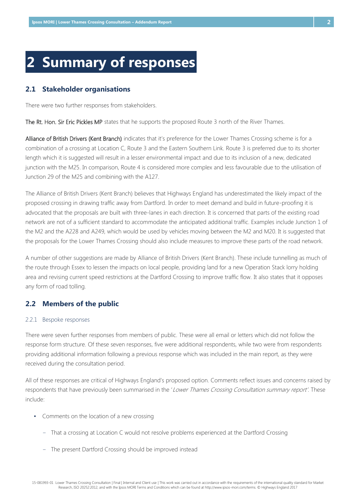### <span id="page-4-0"></span>**2 Summary of responses**

#### <span id="page-4-1"></span>**2.1 Stakeholder organisations**

There were two further responses from stakeholders.

The Rt. Hon. Sir Eric Pickles MP states that he supports the proposed Route 3 north of the River Thames.

Alliance of British Drivers (Kent Branch) indicates that it's preference for the Lower Thames Crossing scheme is for a combination of a crossing at Location C, Route 3 and the Eastern Southern Link. Route 3 is preferred due to its shorter length which it is suggested will result in a lesser environmental impact and due to its inclusion of a new, dedicated junction with the M25. In comparison, Route 4 is considered more complex and less favourable due to the utilisation of Junction 29 of the M25 and combining with the A127.

The Alliance of British Drivers (Kent Branch) believes that Highways England has underestimated the likely impact of the proposed crossing in drawing traffic away from Dartford. In order to meet demand and build in future-proofing it is advocated that the proposals are built with three-lanes in each direction. It is concerned that parts of the existing road network are not of a sufficient standard to accommodate the anticipated additional traffic. Examples include Junction 1 of the M2 and the A228 and A249, which would be used by vehicles moving between the M2 and M20. It is suggested that the proposals for the Lower Thames Crossing should also include measures to improve these parts of the road network.

A number of other suggestions are made by Alliance of British Drivers (Kent Branch). These include tunnelling as much of the route through Essex to lessen the impacts on local people, providing land for a new Operation Stack lorry holding area and revising current speed restrictions at the Dartford Crossing to improve traffic flow. It also states that it opposes any form of road tolling.

#### <span id="page-4-2"></span>**2.2 Members of the public**

#### 2.2.1 Bespoke responses

There were seven further responses from members of public. These were all email or letters which did not follow the response form structure. Of these seven responses, five were additional respondents, while two were from respondents providing additional information following a previous response which was included in the main report, as they were received during the consultation period.

All of these responses are critical of Highways England's proposed option. Comments reflect issues and concerns raised by respondents that have previously been summarised in the 'Lower Thames Crossing Consultation summary report'. These include:

- Comments on the location of a new crossing
	- − That a crossing at Location C would not resolve problems experienced at the Dartford Crossing
	- − The present Dartford Crossing should be improved instead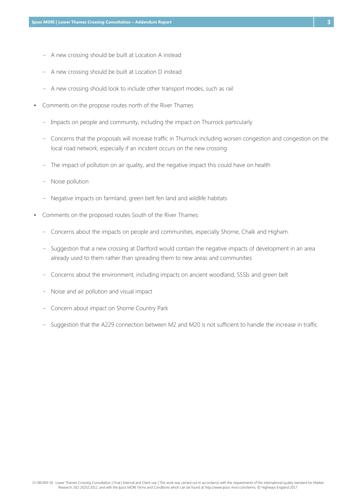- − A new crossing should be built at Location A instead
- − A new crossing should be built at Location D instead
- − A new crossing should look to include other transport modes, such as rail
- Comments on the propose routes north of the River Thames
	- − Impacts on people and community, including the impact on Thurrock particularly
	- − Concerns that the proposals will increase traffic in Thurrock including worsen congestion and congestion on the local road network, especially if an incident occurs on the new crossing
	- − The impact of pollution on air quality, and the negative impact this could have on health
	- − Noise pollution
	- − Negative impacts on farmland, green belt fen land and wildlife habitats
- <span id="page-5-0"></span>▪ Comments on the proposed routes South of the River Thames:
	- − Concerns about the impacts on people and communities, especially Shorne, Chalk and Higham.
	- − Suggestion that a new crossing at Dartford would contain the negative impacts of development in an area already used to them rather than spreading them to new areas and communities
	- − Concerns about the environment, including impacts on ancient woodland, SSSIs and green belt
	- − Noise and air pollution and visual impact
	- − Concern about impact on Shorne Country Park
	- − Suggestion that the A229 connection between M2 and M20 is not sufficient to handle the increase in traffic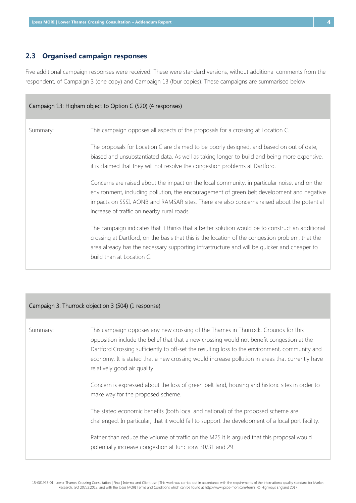#### **2.3 Organised campaign responses**

Five additional campaign responses were received. These were standard versions, without additional comments from the respondent, of Campaign 3 (one copy) and Campaign 13 (four copies). These campaigns are summarised below:

| Campaign 13: Higham object to Option C (520) (4 responses) |                                                                                                                                                                                                                                                                                                                                        |  |  |  |
|------------------------------------------------------------|----------------------------------------------------------------------------------------------------------------------------------------------------------------------------------------------------------------------------------------------------------------------------------------------------------------------------------------|--|--|--|
| Summary:                                                   | This campaign opposes all aspects of the proposals for a crossing at Location C.                                                                                                                                                                                                                                                       |  |  |  |
|                                                            | The proposals for Location C are claimed to be poorly designed, and based on out of date,<br>biased and unsubstantiated data. As well as taking longer to build and being more expensive,<br>it is claimed that they will not resolve the congestion problems at Dartford.                                                             |  |  |  |
|                                                            | Concerns are raised about the impact on the local community, in particular noise, and on the<br>environment, including pollution, the encouragement of green belt development and negative<br>impacts on SSSI, AONB and RAMSAR sites. There are also concerns raised about the potential<br>increase of traffic on nearby rural roads. |  |  |  |
|                                                            | The campaign indicates that it thinks that a better solution would be to construct an additional<br>crossing at Dartford, on the basis that this is the location of the congestion problem, that the<br>area already has the necessary supporting infrastructure and will be quicker and cheaper to<br>build than at Location C.       |  |  |  |

| Campaign 3: Thurrock objection 3 (504) (1 response) |                                                                                                                                                                                                                                                                                                                                                                                                                                                                                                                                                                                                                                                                                                                                                                                                                                                      |  |  |  |
|-----------------------------------------------------|------------------------------------------------------------------------------------------------------------------------------------------------------------------------------------------------------------------------------------------------------------------------------------------------------------------------------------------------------------------------------------------------------------------------------------------------------------------------------------------------------------------------------------------------------------------------------------------------------------------------------------------------------------------------------------------------------------------------------------------------------------------------------------------------------------------------------------------------------|--|--|--|
| Summary:                                            | This campaign opposes any new crossing of the Thames in Thurrock. Grounds for this<br>opposition include the belief that that a new crossing would not benefit congestion at the<br>Dartford Crossing sufficiently to off-set the resulting loss to the environment, community and<br>economy. It is stated that a new crossing would increase pollution in areas that currently have<br>relatively good air quality.<br>Concern is expressed about the loss of green belt land, housing and historic sites in order to<br>make way for the proposed scheme.<br>The stated economic benefits (both local and national) of the proposed scheme are<br>challenged. In particular, that it would fail to support the development of a local port facility.<br>Rather than reduce the volume of traffic on the M25 it is argued that this proposal would |  |  |  |
|                                                     | potentially increase congestion at Junctions 30/31 and 29.                                                                                                                                                                                                                                                                                                                                                                                                                                                                                                                                                                                                                                                                                                                                                                                           |  |  |  |